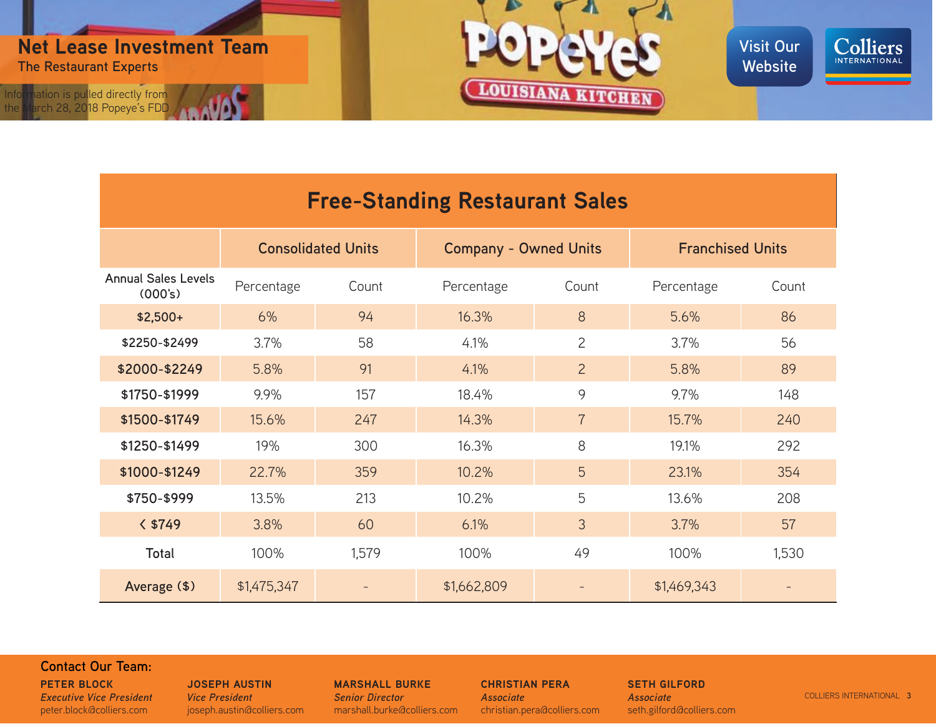





| <b>Free-Standing Restaurant Sales</b> |                           |       |                              |                |                         |       |  |
|---------------------------------------|---------------------------|-------|------------------------------|----------------|-------------------------|-------|--|
|                                       | <b>Consolidated Units</b> |       | <b>Company - Owned Units</b> |                | <b>Franchised Units</b> |       |  |
| <b>Annual Sales Levels</b><br>(000's) | Percentage                | Count | Percentage                   | Count          | Percentage              | Count |  |
| $$2,500+$                             | 6%                        | 94    | 16.3%                        | 8              | 5.6%                    | 86    |  |
| \$2250-\$2499                         | 3.7%                      | 58    | 4.1%                         | $\overline{2}$ | 3.7%                    | 56    |  |
| \$2000-\$2249                         | 5.8%                      | 91    | 4.1%                         | $\overline{2}$ | 5.8%                    | 89    |  |
| \$1750-\$1999                         | 9.9%                      | 157   | 18.4%                        | 9              | 9.7%                    | 148   |  |
| \$1500-\$1749                         | 15.6%                     | 247   | 14.3%                        | $\overline{7}$ | 15.7%                   | 240   |  |
| \$1250-\$1499                         | 19%                       | 300   | 16.3%                        | 8              | 19.1%                   | 292   |  |
| \$1000-\$1249                         | 22.7%                     | 359   | 10.2%                        | 5              | 23.1%                   | 354   |  |
| \$750-\$999                           | 13.5%                     | 213   | 10.2%                        | 5              | 13.6%                   | 208   |  |
| $<$ \$749                             | 3.8%                      | 60    | 6.1%                         | 3              | 3.7%                    | 57    |  |
| <b>Total</b>                          | 100%                      | 1,579 | 100%                         | 49             | 100%                    | 1,530 |  |
| Average (\$)                          | \$1,475,347               |       | \$1,662,809                  |                | \$1,469,343             |       |  |

# **Contact Our Team:**

**[PETER BLOCK](mailto:Peter.Block%40colliers.com?subject=On%20Market%20Reseach%20Questions)** *[Executive Vice President](mailto:Peter.Block%40colliers.com?subject=On%20Market%20Reseach%20Questions)* [peter.block@colliers.com](mailto:Peter.Block%40colliers.com?subject=On%20Market%20Reseach%20Questions)

### **[JOSEPH AUSTIN](mailto:Joseph.austin%40colliers.com?subject=On%20market%20Research)** *[Vice President](mailto:Joseph.austin%40colliers.com?subject=On%20market%20Research)* [joseph.austin@colliers.com](mailto:Joseph.austin%40colliers.com?subject=On%20market%20Research)

**[MARSHALL BURKE](mailto:Marshall.burke%40colliers.com?subject=On%20Market%20Research)** *[Senior Director](mailto:Marshall.burke%40colliers.com?subject=On%20Market%20Research)* [marshall.burke@colliers.com](mailto:Marshall.burke%40colliers.com?subject=On%20Market%20Research) **[CHRISTIAN PERA](mailto:Christian.Pera%40colliers.com?subject=On%20Market%20Research)** *[Associate](mailto:Christian.Pera%40colliers.com?subject=On%20Market%20Research)* [christian.pera@colliers.com](mailto:Christian.Pera%40colliers.com?subject=On%20Market%20Research)

**[SETH GILFORD](mailto:Seth.Gilford%40colliers.com?subject=On%20Market%20research)** *[Associate](mailto:Seth.Gilford%40colliers.com?subject=On%20Market%20research)* [seth.gilford@colliers.com](mailto:Seth.Gilford%40colliers.com?subject=On%20Market%20research)

COLLIERS INTERNATIONAL **3**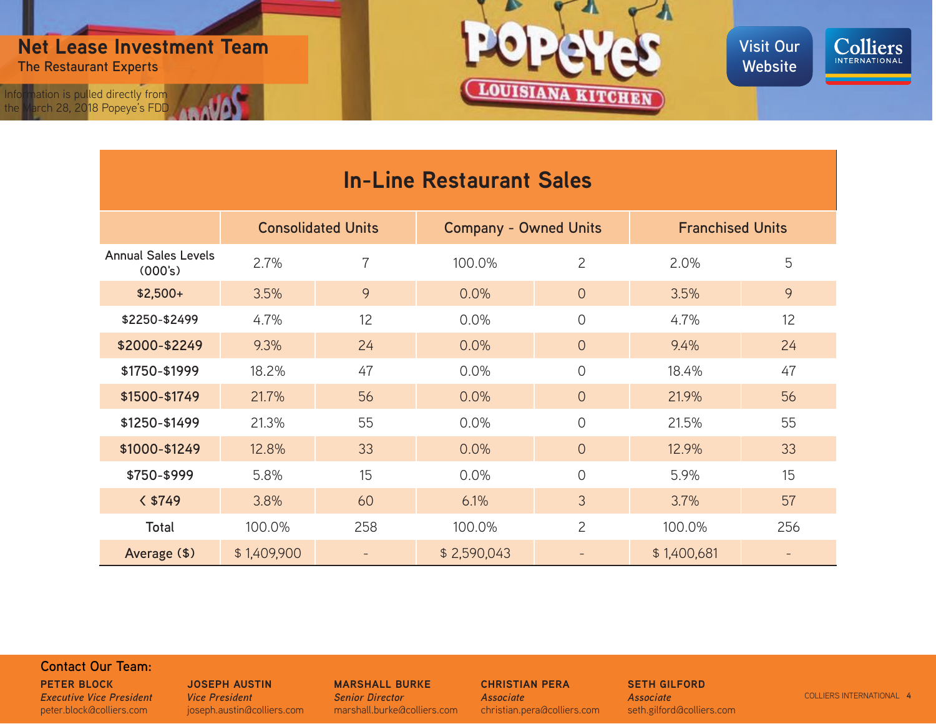

the March 28, 2018 Popeye's FDD





| <b>In-Line Restaurant Sales</b>       |                           |                |                              |                |                         |     |  |  |
|---------------------------------------|---------------------------|----------------|------------------------------|----------------|-------------------------|-----|--|--|
|                                       | <b>Consolidated Units</b> |                | <b>Company - Owned Units</b> |                | <b>Franchised Units</b> |     |  |  |
| <b>Annual Sales Levels</b><br>(000's) | 2.7%                      | $\overline{7}$ | 100.0%                       | $\overline{2}$ | 2.0%                    | 5   |  |  |
| $$2,500+$                             | 3.5%                      | 9              | 0.0%                         | $\overline{O}$ | 3.5%                    | 9   |  |  |
| \$2250-\$2499                         | 4.7%                      | 12             | 0.0%                         | $\overline{O}$ | 4.7%                    | 12  |  |  |
| \$2000-\$2249                         | 9.3%                      | 24             | 0.0%                         | $\overline{0}$ | 9.4%                    | 24  |  |  |
| \$1750-\$1999                         | 18.2%                     | 47             | 0.0%                         | 0              | 18.4%                   | 47  |  |  |
| \$1500-\$1749                         | 21.7%                     | 56             | 0.0%                         | $\overline{0}$ | 21.9%                   | 56  |  |  |
| \$1250-\$1499                         | 21.3%                     | 55             | 0.0%                         | 0              | 21.5%                   | 55  |  |  |
| \$1000-\$1249                         | 12.8%                     | 33             | 0.0%                         | $\Omega$       | 12.9%                   | 33  |  |  |
| \$750-\$999                           | 5.8%                      | 15             | 0.0%                         | 0              | 5.9%                    | 15  |  |  |
| $<$ \$749                             | 3.8%                      | 60             | 6.1%                         | 3              | 3.7%                    | 57  |  |  |
| Total                                 | 100.0%                    | 258            | 100.0%                       | $\overline{2}$ | 100.0%                  | 256 |  |  |
| Average (\$)                          | \$1,409,900               |                | \$2,590,043                  |                | \$1,400,681             |     |  |  |

# **Contact Our Team:**

**[PETER BLOCK](mailto:Peter.Block%40colliers.com?subject=On%20Market%20Reseach%20Questions)** *[Executive Vice President](mailto:Peter.Block%40colliers.com?subject=On%20Market%20Reseach%20Questions)* [peter.block@colliers.com](mailto:Peter.Block%40colliers.com?subject=On%20Market%20Reseach%20Questions)

#### **[JOSEPH AUSTIN](mailto:Joseph.austin%40colliers.com?subject=On%20market%20Research)** *[Vice President](mailto:Joseph.austin%40colliers.com?subject=On%20market%20Research)* [joseph.austin@colliers.com](mailto:Joseph.austin%40colliers.com?subject=On%20market%20Research)

**[MARSHALL BURKE](mailto:Marshall.burke%40colliers.com?subject=On%20Market%20Research)** *[Senior Director](mailto:Marshall.burke%40colliers.com?subject=On%20Market%20Research)* [marshall.burke@colliers.com](mailto:Marshall.burke%40colliers.com?subject=On%20Market%20Research) **[CHRISTIAN PERA](mailto:Christian.Pera%40colliers.com?subject=On%20Market%20Research)** *[Associate](mailto:Christian.Pera%40colliers.com?subject=On%20Market%20Research)* [christian.pera@colliers.com](mailto:Christian.Pera%40colliers.com?subject=On%20Market%20Research)

**[SETH GILFORD](mailto:Seth.Gilford%40colliers.com?subject=On%20Market%20research)** *[Associate](mailto:Seth.Gilford%40colliers.com?subject=On%20Market%20research)* [seth.gilford@colliers.com](mailto:Seth.Gilford%40colliers.com?subject=On%20Market%20research)

COLLIERS INTERNATIONAL **4**